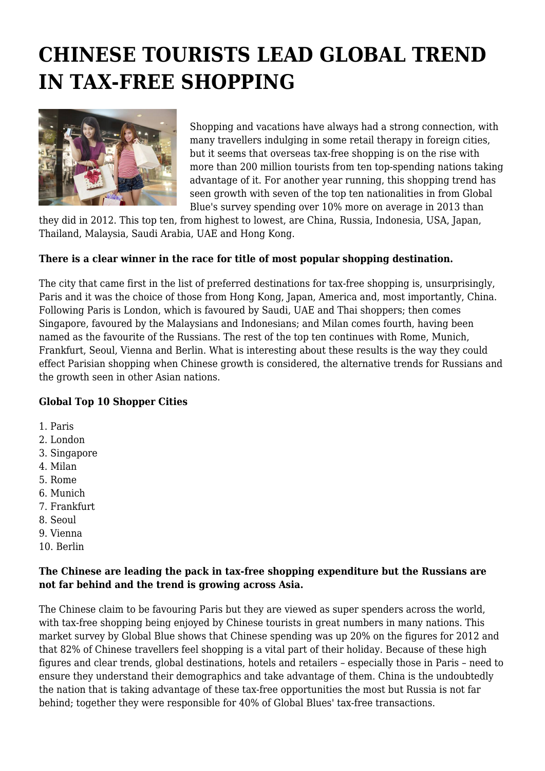# **CHINESE TOURISTS LEAD GLOBAL TREND IN TAX-FREE SHOPPING**



Shopping and vacations have always had a strong connection, with many travellers indulging in some retail therapy in foreign cities, but it seems that overseas tax-free shopping is on the rise with more than 200 million tourists from ten top-spending nations taking advantage of it. For another year running, this shopping trend has seen growth with seven of the top ten nationalities in from Global Blue's survey spending over 10% more on average in 2013 than

they did in 2012. This top ten, from highest to lowest, are China, Russia, Indonesia, USA, Japan, Thailand, Malaysia, Saudi Arabia, UAE and Hong Kong.

#### **There is a clear winner in the race for title of most popular shopping destination.**

The city that came first in the list of preferred destinations for tax-free shopping is, unsurprisingly, Paris and it was the choice of those from Hong Kong, Japan, America and, most importantly, China. Following Paris is London, which is favoured by Saudi, UAE and Thai shoppers; then comes Singapore, favoured by the Malaysians and Indonesians; and Milan comes fourth, having been named as the favourite of the Russians. The rest of the top ten continues with Rome, Munich, Frankfurt, Seoul, Vienna and Berlin. What is interesting about these results is the way they could effect Parisian shopping when Chinese growth is considered, the alternative trends for Russians and the growth seen in other Asian nations.

## **Global Top 10 Shopper Cities**

- 1. Paris
- 2. London
- 3. Singapore
- 4. Milan
- 5. Rome
- 6. Munich
- 7. Frankfurt
- 8. Seoul
- 9. Vienna
- 10. Berlin

#### **The Chinese are leading the pack in tax-free shopping expenditure but the Russians are not far behind and the trend is growing across Asia.**

The Chinese claim to be favouring Paris but they are viewed as super spenders across the world, with tax-free shopping being enjoyed by Chinese tourists in great numbers in many nations. This market survey by Global Blue shows that Chinese spending was up 20% on the figures for 2012 and that 82% of Chinese travellers feel shopping is a vital part of their holiday. Because of these high figures and clear trends, global destinations, hotels and retailers – especially those in Paris – need to ensure they understand their demographics and take advantage of them. China is the undoubtedly the nation that is taking advantage of these tax-free opportunities the most but Russia is not far behind; together they were responsible for 40% of Global Blues' tax-free transactions.